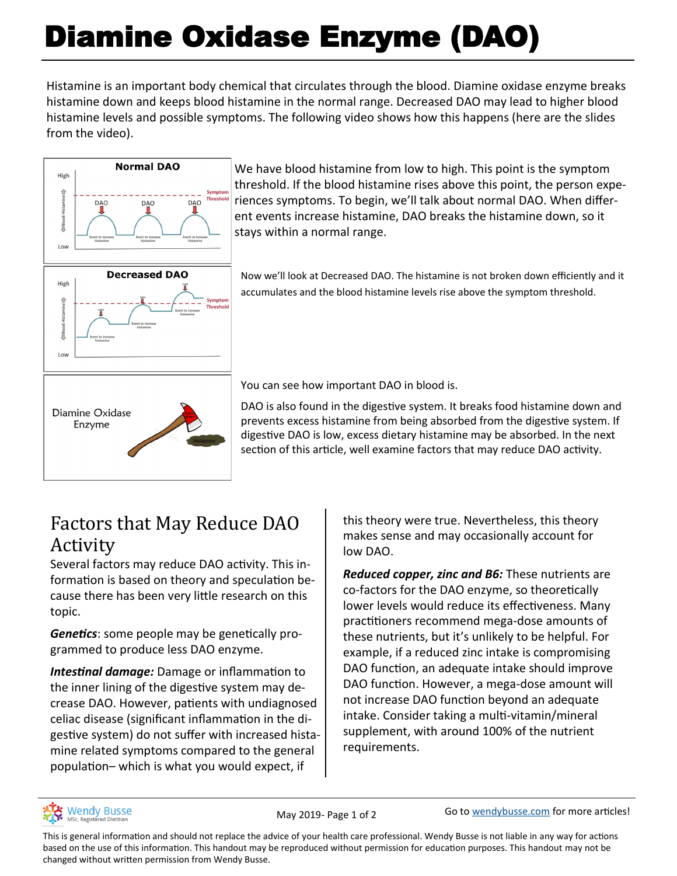# Diamine Oxidase Enzyme (DAO)

Histamine is an important body chemical that circulates through the blood. Diamine oxidase enzyme breaks histamine down and keeps blood histamine in the normal range. Decreased DAO may lead to higher blood histamine levels and possible symptoms. The following video shows how this happens (here are the slides from the video).



We have blood histamine from low to high. This point is the symptom threshold. If the blood histamine rises above this point, the person experiences symptoms. To begin, we'll talk about normal DAO. When different events increase histamine, DAO breaks the histamine down, so it stays within a normal range.

Now we'll look at Decreased DAO. The histamine is not broken down efficiently and it accumulates and the blood histamine levels rise above the symptom threshold.

You can see how important DAO in blood is.

DAO is also found in the digestive system. It breaks food histamine down and prevents excess histamine from being absorbed from the digestive system. If digestive DAO is low, excess dietary histamine may be absorbed. In the next section of this article, well examine factors that may reduce DAO activity.

## Factors that May Reduce DAO Activity

Several factors may reduce DAO activity. This information is based on theory and speculation because there has been very little research on this topic.

*Genetics*: some people may be genetically programmed to produce less DAO enzyme.

*Intestinal damage:* Damage or inflammation to the inner lining of the digestive system may decrease DAO. However, patients with undiagnosed celiac disease (significant inflammation in the digestive system) do not suffer with increased histamine related symptoms compared to the general population– which is what you would expect, if

this theory were true. Nevertheless, this theory makes sense and may occasionally account for low DAO.

*Reduced copper, zinc and B6:* These nutrients are co-factors for the DAO enzyme, so theoretically lower levels would reduce its effectiveness. Many practitioners recommend mega-dose amounts of these nutrients, but it's unlikely to be helpful. For example, if a reduced zinc intake is compromising DAO function, an adequate intake should improve DAO function. However, a mega-dose amount will not increase DAO function beyond an adequate intake. Consider taking a multi-vitamin/mineral supplement, with around 100% of the nutrient requirements.



May 2019- Page 1 of 2 Go to [wendybusse.com](http://www.wendybusse.com/) for more articles!

This is general information and should not replace the advice of your health care professional. Wendy Busse is not liable in any way for actions based on the use of this information. This handout may be reproduced without permission for education purposes. This handout may not be changed without written permission from Wendy Busse.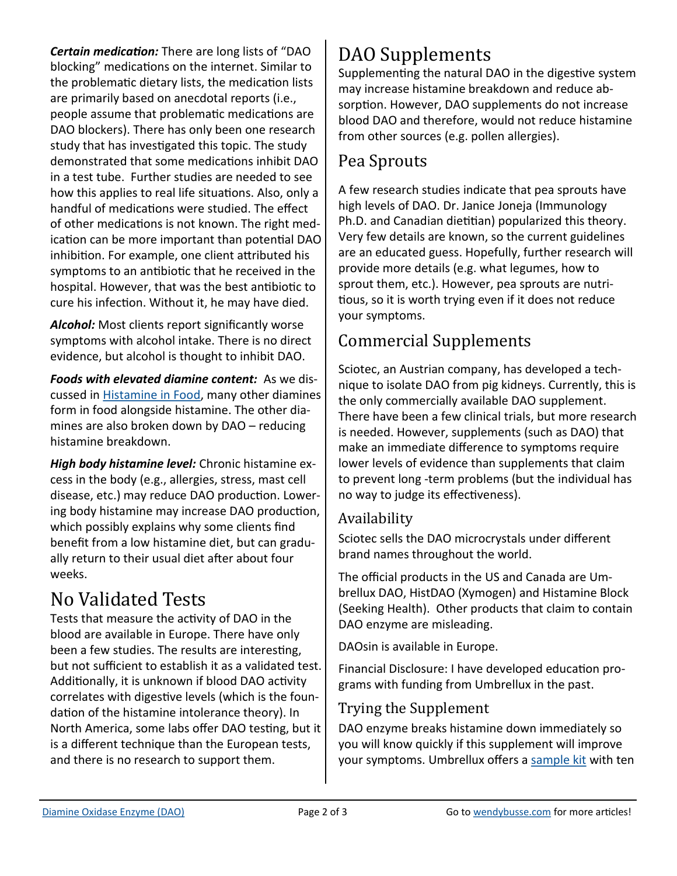*Certain medication:* There are long lists of "DAO blocking" medications on the internet. Similar to the problematic dietary lists, the medication lists are primarily based on anecdotal reports (i.e., people assume that problematic medications are DAO blockers). There has only been one research study that has investigated this topic. The study demonstrated that some medications inhibit DAO in a test tube. Further studies are needed to see how this applies to real life situations. Also, only a handful of medications were studied. The effect of other medications is not known. The right medication can be more important than potential DAO inhibition. For example, one client attributed his symptoms to an antibiotic that he received in the hospital. However, that was the best antibiotic to cure his infection. Without it, he may have died.

*Alcohol:* Most clients report significantly worse symptoms with alcohol intake. There is no direct evidence, but alcohol is thought to inhibit DAO.

*Foods with elevated diamine content:* As we discussed in [Histamine in Food,](https://wendybusse.com/histamine-in-food/) many other diamines form in food alongside histamine. The other diamines are also broken down by DAO – reducing histamine breakdown.

*High body histamine level:* Chronic histamine excess in the body (e.g., allergies, stress, mast cell disease, etc.) may reduce DAO production. Lowering body histamine may increase DAO production, which possibly explains why some clients find benefit from a low histamine diet, but can gradually return to their usual diet after about four weeks.

# No Validated Tests

Tests that measure the activity of DAO in the blood are available in Europe. There have only been a few studies. The results are interesting, but not sufficient to establish it as a validated test. Additionally, it is unknown if blood DAO activity correlates with digestive levels (which is the foundation of the histamine intolerance theory). In North America, some labs offer DAO testing, but it is a different technique than the European tests, and there is no research to support them.

## DAO Supplements

Supplementing the natural DAO in the digestive system may increase histamine breakdown and reduce absorption. However, DAO supplements do not increase blood DAO and therefore, would not reduce histamine from other sources (e.g. pollen allergies).

### Pea Sprouts

A few research studies indicate that pea sprouts have high levels of DAO. Dr. Janice Joneja (Immunology Ph.D. and Canadian dietitian) popularized this theory. Very few details are known, so the current guidelines are an educated guess. Hopefully, further research will provide more details (e.g. what legumes, how to sprout them, etc.). However, pea sprouts are nutritious, so it is worth trying even if it does not reduce your symptoms.

## Commercial Supplements

Sciotec, an Austrian company, has developed a technique to isolate DAO from pig kidneys. Currently, this is the only commercially available DAO supplement. There have been a few clinical trials, but more research is needed. However, supplements (such as DAO) that make an immediate difference to symptoms require lower levels of evidence than supplements that claim to prevent long -term problems (but the individual has no way to judge its effectiveness).

#### Availability

Sciotec sells the DAO microcrystals under different brand names throughout the world.

The official products in the US and Canada are Umbrellux DAO, HistDAO (Xymogen) and Histamine Block (Seeking Health). Other products that claim to contain DAO enzyme are misleading.

DAOsin is available in Europe.

Financial Disclosure: I have developed education programs with funding from Umbrellux in the past.

#### Trying the Supplement

DAO enzyme breaks histamine down immediately so you will know quickly if this supplement will improve your symptoms. Umbrellux offers a [sample kit](https://umbrelluxdao.myshopify.com/products/umbrellux-dao-sample-and-self-evaluation-kit) with ten